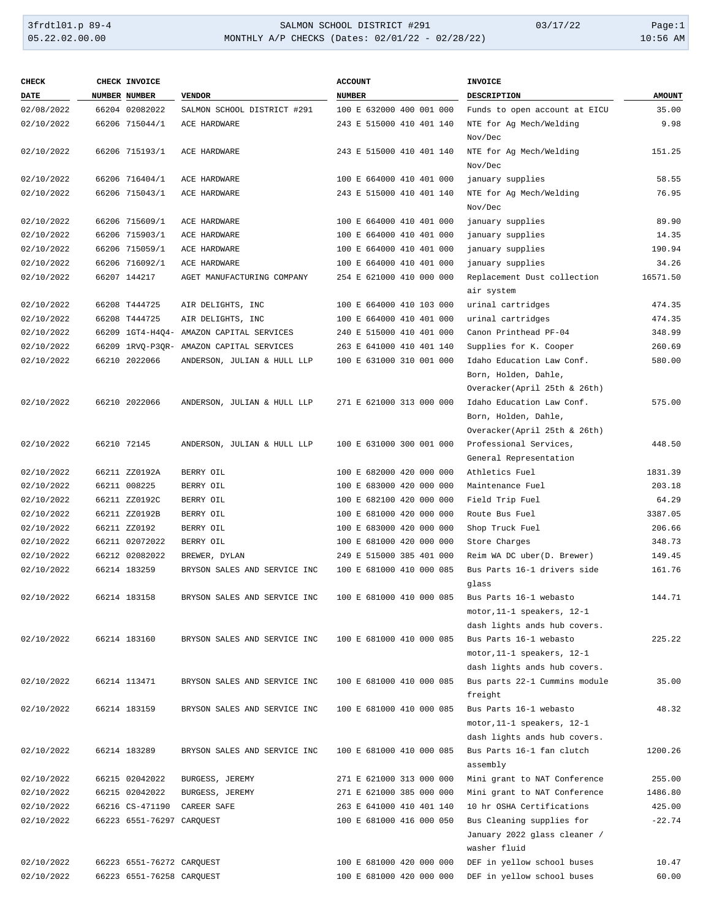# 3frdtl01.p 89-4 <br>
34LMON SCHOOL DISTRICT #291 03/17/22 Page:1<br>
35.22.02.00.00 MONTHLY A/P CHECKS (Dates: 02/01/22 - 02/28/22) 03/17/22 10:56 AM MONTHLY A/P CHECKS (Dates: 02/01/22 - 02/28/22)

| <b>CHECK</b> | CHECK INVOICE             |                                          | <b>ACCOUNT</b>           | INVOICE                                                                           |               |
|--------------|---------------------------|------------------------------------------|--------------------------|-----------------------------------------------------------------------------------|---------------|
| <b>DATE</b>  | NUMBER NUMBER             | <b>VENDOR</b>                            | <b>NUMBER</b>            | DESCRIPTION                                                                       | <b>AMOUNT</b> |
| 02/08/2022   | 66204 02082022            | SALMON SCHOOL DISTRICT #291              | 100 E 632000 400 001 000 | Funds to open account at EICU                                                     | 35.00         |
| 02/10/2022   | 66206 715044/1            | ACE HARDWARE                             | 243 E 515000 410 401 140 | NTE for Ag Mech/Welding<br>Nov/Dec                                                | 9.98          |
| 02/10/2022   | 66206 715193/1            | ACE HARDWARE                             | 243 E 515000 410 401 140 | NTE for Ag Mech/Welding<br>Nov/Dec                                                | 151.25        |
| 02/10/2022   | 66206 716404/1            | ACE HARDWARE                             | 100 E 664000 410 401 000 | january supplies                                                                  | 58.55         |
| 02/10/2022   | 66206 715043/1            | ACE HARDWARE                             | 243 E 515000 410 401 140 | NTE for Ag Mech/Welding<br>Nov/Dec                                                | 76.95         |
| 02/10/2022   | 66206 715609/1            | ACE HARDWARE                             | 100 E 664000 410 401 000 | january supplies                                                                  | 89.90         |
| 02/10/2022   | 66206 715903/1            | ACE HARDWARE                             | 100 E 664000 410 401 000 | january supplies                                                                  | 14.35         |
| 02/10/2022   | 66206 715059/1            | ACE HARDWARE                             | 100 E 664000 410 401 000 | january supplies                                                                  | 190.94        |
| 02/10/2022   | 66206 716092/1            | ACE HARDWARE                             | 100 E 664000 410 401 000 | january supplies                                                                  | 34.26         |
| 02/10/2022   | 66207 144217              | AGET MANUFACTURING COMPANY               | 254 E 621000 410 000 000 | Replacement Dust collection<br>air system                                         | 16571.50      |
| 02/10/2022   | 66208 T444725             | AIR DELIGHTS, INC                        | 100 E 664000 410 103 000 | urinal cartridges                                                                 | 474.35        |
| 02/10/2022   | 66208 T444725             | AIR DELIGHTS, INC                        | 100 E 664000 410 401 000 | urinal cartridges                                                                 | 474.35        |
| 02/10/2022   |                           | 66209 1GT4-H4O4- AMAZON CAPITAL SERVICES | 240 E 515000 410 401 000 | Canon Printhead PF-04                                                             | 348.99        |
| 02/10/2022   |                           | 66209 1RVQ-P3QR- AMAZON CAPITAL SERVICES | 263 E 641000 410 401 140 | Supplies for K. Cooper                                                            | 260.69        |
| 02/10/2022   | 66210 2022066             | ANDERSON, JULIAN & HULL LLP              | 100 E 631000 310 001 000 | Idaho Education Law Conf.<br>Born, Holden, Dahle,                                 | 580.00        |
|              |                           |                                          |                          | Overacker(April 25th & 26th)                                                      |               |
| 02/10/2022   | 66210 2022066             | ANDERSON, JULIAN & HULL LLP              | 271 E 621000 313 000 000 | Idaho Education Law Conf.<br>Born, Holden, Dahle,<br>Overacker(April 25th & 26th) | 575.00        |
| 02/10/2022   | 66210 72145               | ANDERSON, JULIAN & HULL LLP              | 100 E 631000 300 001 000 | Professional Services,<br>General Representation                                  | 448.50        |
| 02/10/2022   | 66211 ZZ0192A             | BERRY OIL                                | 100 E 682000 420 000 000 | Athletics Fuel                                                                    | 1831.39       |
| 02/10/2022   | 66211 008225              | BERRY OIL                                | 100 E 683000 420 000 000 | Maintenance Fuel                                                                  | 203.18        |
| 02/10/2022   | 66211 ZZ0192C             | BERRY OIL                                | 100 E 682100 420 000 000 | Field Trip Fuel                                                                   | 64.29         |
| 02/10/2022   | 66211 ZZ0192B             | BERRY OIL                                | 100 E 681000 420 000 000 | Route Bus Fuel                                                                    | 3387.05       |
| 02/10/2022   | 66211 ZZ0192              | BERRY OIL                                | 100 E 683000 420 000 000 | Shop Truck Fuel                                                                   | 206.66        |
| 02/10/2022   | 66211 02072022            | BERRY OIL                                | 100 E 681000 420 000 000 | Store Charges                                                                     | 348.73        |
| 02/10/2022   | 66212 02082022            | BREWER, DYLAN                            | 249 E 515000 385 401 000 | Reim WA DC uber(D. Brewer)                                                        | 149.45        |
| 02/10/2022   | 66214 183259              | BRYSON SALES AND SERVICE INC             | 100 E 681000 410 000 085 | Bus Parts 16-1 drivers side<br>glass                                              | 161.76        |
| 02/10/2022   | 66214 183158              | BRYSON SALES AND SERVICE INC             | 100 E 681000 410 000 085 | Bus Parts 16-1 webasto                                                            | 144.71        |
|              |                           |                                          |                          | motor, 11-1 speakers, 12-1                                                        |               |
|              |                           |                                          |                          | dash lights ands hub covers.                                                      |               |
| 02/10/2022   | 66214 183160              | BRYSON SALES AND SERVICE INC             | 100 E 681000 410 000 085 | Bus Parts 16-1 webasto                                                            | 225.22        |
|              |                           |                                          |                          | motor, 11-1 speakers, 12-1                                                        |               |
|              |                           |                                          |                          | dash lights ands hub covers.                                                      |               |
| 02/10/2022   | 66214 113471              | BRYSON SALES AND SERVICE INC             | 100 E 681000 410 000 085 | Bus parts 22-1 Cummins module<br>freight                                          | 35.00         |
| 02/10/2022   | 66214 183159              | BRYSON SALES AND SERVICE INC             | 100 E 681000 410 000 085 | Bus Parts 16-1 webasto<br>motor, 11-1 speakers, 12-1                              | 48.32         |
| 02/10/2022   | 66214 183289              | BRYSON SALES AND SERVICE INC             | 100 E 681000 410 000 085 | dash lights ands hub covers.<br>Bus Parts 16-1 fan clutch<br>assembly             | 1200.26       |
| 02/10/2022   | 66215 02042022            | BURGESS, JEREMY                          | 271 E 621000 313 000 000 | Mini grant to NAT Conference                                                      | 255.00        |
| 02/10/2022   | 66215 02042022            | BURGESS, JEREMY                          | 271 E 621000 385 000 000 | Mini grant to NAT Conference                                                      | 1486.80       |
| 02/10/2022   | 66216 CS-471190           | CAREER SAFE                              | 263 E 641000 410 401 140 | 10 hr OSHA Certifications                                                         | 425.00        |
| 02/10/2022   | 66223 6551-76297 CARQUEST |                                          | 100 E 681000 416 000 050 | Bus Cleaning supplies for<br>January 2022 glass cleaner /<br>washer fluid         | $-22.74$      |
| 02/10/2022   | 66223 6551-76272 CARQUEST |                                          | 100 E 681000 420 000 000 | DEF in yellow school buses                                                        | 10.47         |
| 02/10/2022   | 66223 6551-76258 CARQUEST |                                          | 100 E 681000 420 000 000 | DEF in yellow school buses                                                        | 60.00         |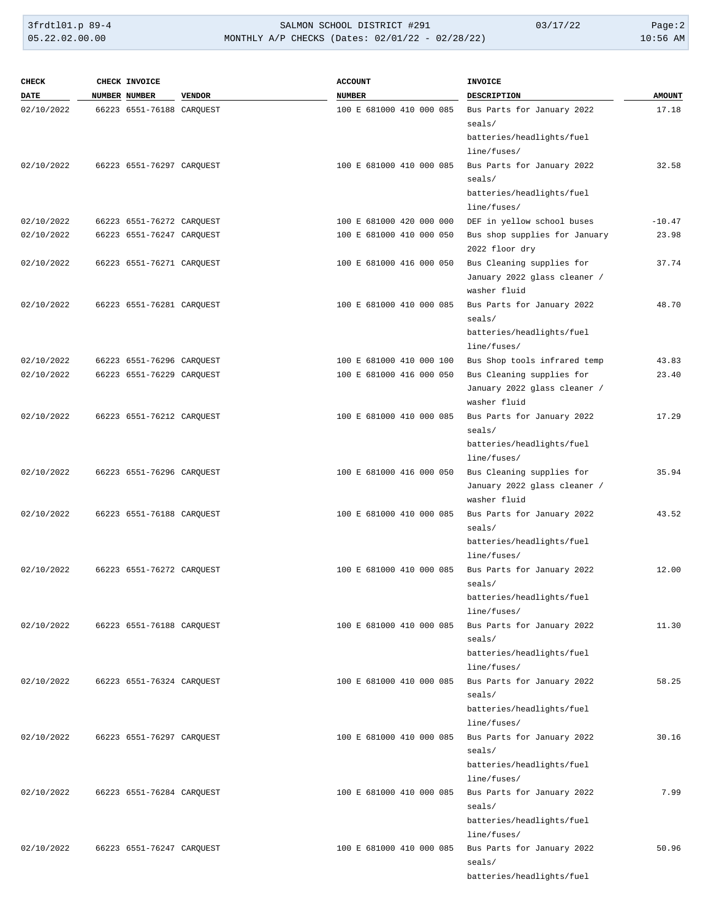3frdtl01.p 89-4 <br>
34.00.00 SALMON SCHOOL DISTRICT #291 03/17/22 Page:2<br>
35.22.02.00.00 MONTHLY A/P CHECKS (Dates: 02/01/22 - 02/28/22) 03/17/22 10:56 AM MONTHLY A/P CHECKS (Dates: 02/01/22 - 02/28/22)

| <b>CHECK</b> | CHECK INVOICE             |               | <b>ACCOUNT</b>           | <b>INVOICE</b>                       |               |
|--------------|---------------------------|---------------|--------------------------|--------------------------------------|---------------|
| <b>DATE</b>  | NUMBER NUMBER             | <b>VENDOR</b> | <b>NUMBER</b>            | <b>DESCRIPTION</b>                   | <b>AMOUNT</b> |
| 02/10/2022   | 66223 6551-76188 CARQUEST |               | 100 E 681000 410 000 085 | Bus Parts for January 2022           | 17.18         |
|              |                           |               |                          | seals/                               |               |
|              |                           |               |                          | batteries/headlights/fuel            |               |
|              |                           |               |                          | line/fuses/                          |               |
| 02/10/2022   | 66223 6551-76297 CARQUEST |               | 100 E 681000 410 000 085 | Bus Parts for January 2022           | 32.58         |
|              |                           |               |                          | seals/                               |               |
|              |                           |               |                          | batteries/headlights/fuel            |               |
|              |                           |               |                          | line/fuses/                          |               |
| 02/10/2022   | 66223 6551-76272 CARQUEST |               | 100 E 681000 420 000 000 | DEF in yellow school buses           | $-10.47$      |
| 02/10/2022   | 66223 6551-76247 CARQUEST |               | 100 E 681000 410 000 050 | Bus shop supplies for January        | 23.98         |
|              |                           |               |                          | 2022 floor dry                       |               |
| 02/10/2022   | 66223 6551-76271 CARQUEST |               | 100 E 681000 416 000 050 | Bus Cleaning supplies for            | 37.74         |
|              |                           |               |                          | January 2022 glass cleaner /         |               |
|              |                           |               |                          | washer fluid                         |               |
| 02/10/2022   | 66223 6551-76281 CAROUEST |               | 100 E 681000 410 000 085 | Bus Parts for January 2022           | 48.70         |
|              |                           |               |                          | seals/                               |               |
|              |                           |               |                          | batteries/headlights/fuel            |               |
|              |                           |               |                          | line/fuses/                          |               |
| 02/10/2022   | 66223 6551-76296 CARQUEST |               | 100 E 681000 410 000 100 | Bus Shop tools infrared temp         | 43.83         |
| 02/10/2022   | 66223 6551-76229 CARQUEST |               | 100 E 681000 416 000 050 | Bus Cleaning supplies for            | 23.40         |
|              |                           |               |                          | January 2022 glass cleaner /         |               |
|              |                           |               |                          | washer fluid                         |               |
| 02/10/2022   | 66223 6551-76212 CARQUEST |               | 100 E 681000 410 000 085 | Bus Parts for January 2022           | 17.29         |
|              |                           |               |                          | seals/                               |               |
|              |                           |               |                          | batteries/headlights/fuel            |               |
|              |                           |               |                          | line/fuses/                          |               |
| 02/10/2022   | 66223 6551-76296 CARQUEST |               | 100 E 681000 416 000 050 | Bus Cleaning supplies for            | 35.94         |
|              |                           |               |                          | January 2022 glass cleaner /         |               |
|              |                           |               |                          | washer fluid                         |               |
| 02/10/2022   | 66223 6551-76188 CARQUEST |               | 100 E 681000 410 000 085 | Bus Parts for January 2022<br>seals/ | 43.52         |
|              |                           |               |                          | batteries/headlights/fuel            |               |
|              |                           |               |                          | line/fuses/                          |               |
| 02/10/2022   | 66223 6551-76272 CARQUEST |               | 100 E 681000 410 000 085 | Bus Parts for January 2022           | 12.00         |
|              |                           |               |                          | seals/                               |               |
|              |                           |               |                          | batteries/headlights/fuel            |               |
|              |                           |               |                          | line/fuses/                          |               |
| 02/10/2022   | 66223 6551-76188 CARQUEST |               | 100 E 681000 410 000 085 | Bus Parts for January 2022           | 11.30         |
|              |                           |               |                          | seals/                               |               |
|              |                           |               |                          | batteries/headlights/fuel            |               |
|              |                           |               |                          | line/fuses/                          |               |
| 02/10/2022   | 66223 6551-76324 CARQUEST |               | 100 E 681000 410 000 085 | Bus Parts for January 2022           | 58.25         |
|              |                           |               |                          | seals/                               |               |
|              |                           |               |                          | batteries/headlights/fuel            |               |
|              |                           |               |                          | line/fuses/                          |               |
| 02/10/2022   | 66223 6551-76297 CARQUEST |               | 100 E 681000 410 000 085 | Bus Parts for January 2022           | 30.16         |
|              |                           |               |                          | seals/                               |               |
|              |                           |               |                          | batteries/headlights/fuel            |               |
|              |                           |               |                          | line/fuses/                          |               |
| 02/10/2022   | 66223 6551-76284 CARQUEST |               | 100 E 681000 410 000 085 | Bus Parts for January 2022           | 7.99          |
|              |                           |               |                          | seals/                               |               |
|              |                           |               |                          | batteries/headlights/fuel            |               |
|              |                           |               |                          | line/fuses/                          |               |
| 02/10/2022   | 66223 6551-76247 CARQUEST |               | 100 E 681000 410 000 085 | Bus Parts for January 2022           | 50.96         |
|              |                           |               |                          | seals/                               |               |
|              |                           |               |                          | batteries/headlights/fuel            |               |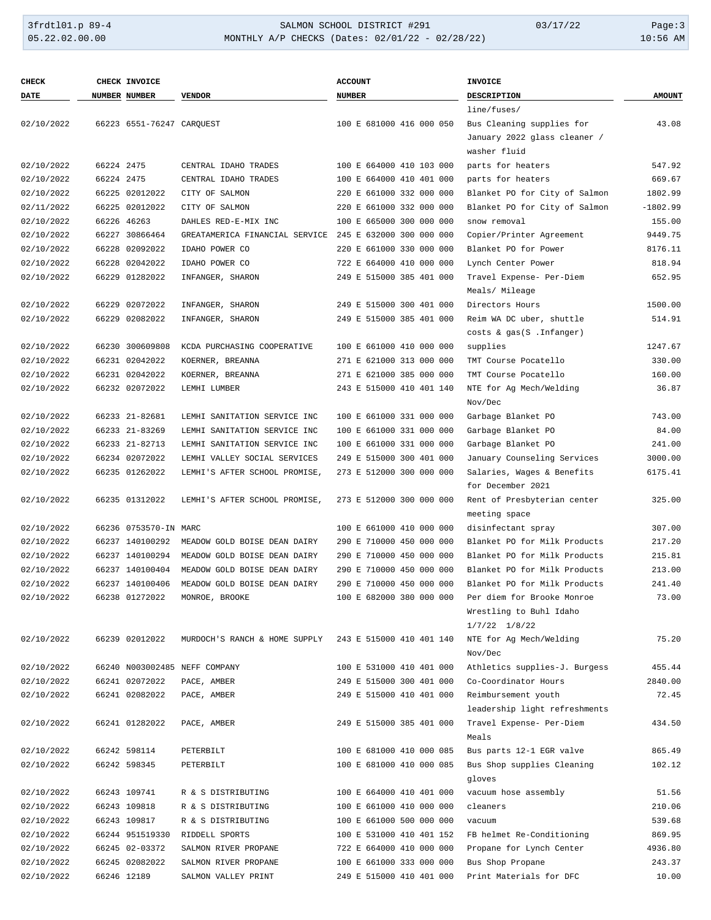### 3frdtl01.p 89-4 SALMON SCHOOL DISTRICT #291 03/17/22 Page:3 MONTHLY A/P CHECKS (Dates: 02/01/22 - 02/28/22)

| <b>CHECK</b> |            | CHECK INVOICE             |                                | <b>ACCOUNT</b>           | INVOICE                       |               |
|--------------|------------|---------------------------|--------------------------------|--------------------------|-------------------------------|---------------|
| DATE         |            | NUMBER NUMBER             | <b>VENDOR</b>                  | <b>NUMBER</b>            | DESCRIPTION                   | <b>AMOUNT</b> |
|              |            |                           |                                |                          | line/fuses/                   |               |
| 02/10/2022   |            | 66223 6551-76247 CARQUEST |                                | 100 E 681000 416 000 050 | Bus Cleaning supplies for     | 43.08         |
|              |            |                           |                                |                          | January 2022 glass cleaner /  |               |
|              |            |                           |                                |                          | washer fluid                  |               |
| 02/10/2022   | 66224 2475 |                           | CENTRAL IDAHO TRADES           | 100 E 664000 410 103 000 | parts for heaters             | 547.92        |
| 02/10/2022   | 66224 2475 |                           | CENTRAL IDAHO TRADES           | 100 E 664000 410 401 000 | parts for heaters             | 669.67        |
| 02/10/2022   |            | 66225 02012022            | CITY OF SALMON                 | 220 E 661000 332 000 000 | Blanket PO for City of Salmon | 1802.99       |
| 02/11/2022   |            | 66225 02012022            | CITY OF SALMON                 | 220 E 661000 332 000 000 | Blanket PO for City of Salmon | $-1802.99$    |
| 02/10/2022   |            | 66226 46263               | DAHLES RED-E-MIX INC           | 100 E 665000 300 000 000 | snow removal                  | 155.00        |
| 02/10/2022   |            | 66227 30866464            | GREATAMERICA FINANCIAL SERVICE | 245 E 632000 300 000 000 | Copier/Printer Agreement      | 9449.75       |
| 02/10/2022   |            | 66228 02092022            | IDAHO POWER CO                 | 220 E 661000 330 000 000 | Blanket PO for Power          | 8176.11       |
| 02/10/2022   |            | 66228 02042022            | IDAHO POWER CO                 | 722 E 664000 410 000 000 | Lynch Center Power            | 818.94        |
| 02/10/2022   |            | 66229 01282022            | INFANGER, SHARON               | 249 E 515000 385 401 000 | Travel Expense- Per-Diem      | 652.95        |
|              |            |                           |                                |                          | Meals/ Mileage                |               |
| 02/10/2022   |            | 66229 02072022            | INFANGER, SHARON               | 249 E 515000 300 401 000 | Directors Hours               | 1500.00       |
| 02/10/2022   |            | 66229 02082022            | INFANGER, SHARON               | 249 E 515000 385 401 000 | Reim WA DC uber, shuttle      | 514.91        |
|              |            |                           |                                |                          | costs & gas(S . Infanger)     |               |
| 02/10/2022   |            | 66230 300609808           | KCDA PURCHASING COOPERATIVE    | 100 E 661000 410 000 000 | supplies                      | 1247.67       |
| 02/10/2022   |            | 66231 02042022            | KOERNER, BREANNA               | 271 E 621000 313 000 000 | TMT Course Pocatello          | 330.00        |
| 02/10/2022   |            | 66231 02042022            | KOERNER, BREANNA               | 271 E 621000 385 000 000 | TMT Course Pocatello          | 160.00        |
| 02/10/2022   |            | 66232 02072022            | LEMHI LUMBER                   | 243 E 515000 410 401 140 | NTE for Ag Mech/Welding       | 36.87         |
|              |            |                           |                                |                          | Nov/Dec                       |               |
| 02/10/2022   |            | 66233 21-82681            | LEMHI SANITATION SERVICE INC   | 100 E 661000 331 000 000 | Garbage Blanket PO            | 743.00        |
| 02/10/2022   |            | 66233 21-83269            | LEMHI SANITATION SERVICE INC   | 100 E 661000 331 000 000 | Garbage Blanket PO            | 84.00         |
| 02/10/2022   |            | 66233 21-82713            | LEMHI SANITATION SERVICE INC   | 100 E 661000 331 000 000 | Garbage Blanket PO            | 241.00        |
| 02/10/2022   |            | 66234 02072022            | LEMHI VALLEY SOCIAL SERVICES   | 249 E 515000 300 401 000 | January Counseling Services   | 3000.00       |
| 02/10/2022   |            | 66235 01262022            | LEMHI'S AFTER SCHOOL PROMISE,  | 273 E 512000 300 000 000 | Salaries, Wages & Benefits    | 6175.41       |
|              |            |                           |                                |                          | for December 2021             |               |
| 02/10/2022   |            | 66235 01312022            | LEMHI'S AFTER SCHOOL PROMISE,  | 273 E 512000 300 000 000 | Rent of Presbyterian center   | 325.00        |
|              |            |                           |                                |                          | meeting space                 |               |
| 02/10/2022   |            | 66236 0753570-IN MARC     |                                | 100 E 661000 410 000 000 | disinfectant spray            | 307.00        |
| 02/10/2022   |            | 66237 140100292           | MEADOW GOLD BOISE DEAN DAIRY   | 290 E 710000 450 000 000 | Blanket PO for Milk Products  | 217.20        |
| 02/10/2022   |            | 66237 140100294           | MEADOW GOLD BOISE DEAN DAIRY   | 290 E 710000 450 000 000 | Blanket PO for Milk Products  | 215.81        |
| 02/10/2022   |            | 66237 140100404           | MEADOW GOLD BOISE DEAN DAIRY   | 290 E 710000 450 000 000 | Blanket PO for Milk Products  | 213.00        |
| 02/10/2022   |            | 66237 140100406           | MEADOW GOLD BOISE DEAN DAIRY   | 290 E 710000 450 000 000 | Blanket PO for Milk Products  | 241.40        |
| 02/10/2022   |            | 66238 01272022            | MONROE, BROOKE                 | 100 E 682000 380 000 000 | Per diem for Brooke Monroe    | 73.00         |
|              |            |                           |                                |                          | Wrestling to Buhl Idaho       |               |
|              |            |                           |                                |                          | $1/7/22$ $1/8/22$             |               |
| 02/10/2022   |            | 66239 02012022            | MURDOCH'S RANCH & HOME SUPPLY  | 243 E 515000 410 401 140 | NTE for Ag Mech/Welding       | 75.20         |
|              |            |                           |                                |                          | Nov/Dec                       |               |
| 02/10/2022   |            |                           | 66240 N003002485 NEFF COMPANY  | 100 E 531000 410 401 000 | Athletics supplies-J. Burgess | 455.44        |
| 02/10/2022   |            | 66241 02072022            | PACE, AMBER                    | 249 E 515000 300 401 000 | Co-Coordinator Hours          | 2840.00       |
| 02/10/2022   |            | 66241 02082022            | PACE, AMBER                    | 249 E 515000 410 401 000 | Reimbursement youth           | 72.45         |
|              |            |                           |                                |                          | leadership light refreshments |               |
| 02/10/2022   |            | 66241 01282022            | PACE, AMBER                    | 249 E 515000 385 401 000 | Travel Expense- Per-Diem      | 434.50        |
|              |            |                           |                                |                          | Meals                         |               |
| 02/10/2022   |            | 66242 598114              | PETERBILT                      | 100 E 681000 410 000 085 | Bus parts 12-1 EGR valve      | 865.49        |
| 02/10/2022   |            | 66242 598345              | PETERBILT                      | 100 E 681000 410 000 085 | Bus Shop supplies Cleaning    | 102.12        |
|              |            |                           |                                |                          | gloves                        |               |
| 02/10/2022   |            | 66243 109741              | R & S DISTRIBUTING             | 100 E 664000 410 401 000 | vacuum hose assembly          | 51.56         |
| 02/10/2022   |            | 66243 109818              | R & S DISTRIBUTING             | 100 E 661000 410 000 000 | cleaners                      | 210.06        |
| 02/10/2022   |            | 66243 109817              | R & S DISTRIBUTING             | 100 E 661000 500 000 000 | vacuum                        | 539.68        |
| 02/10/2022   |            | 66244 951519330           | RIDDELL SPORTS                 | 100 E 531000 410 401 152 | FB helmet Re-Conditioning     | 869.95        |
| 02/10/2022   |            | 66245 02-03372            | SALMON RIVER PROPANE           | 722 E 664000 410 000 000 | Propane for Lynch Center      | 4936.80       |
| 02/10/2022   |            | 66245 02082022            | SALMON RIVER PROPANE           | 100 E 661000 333 000 000 | Bus Shop Propane              | 243.37        |
| 02/10/2022   |            | 66246 12189               | SALMON VALLEY PRINT            | 249 E 515000 410 401 000 | Print Materials for DFC       | 10.00         |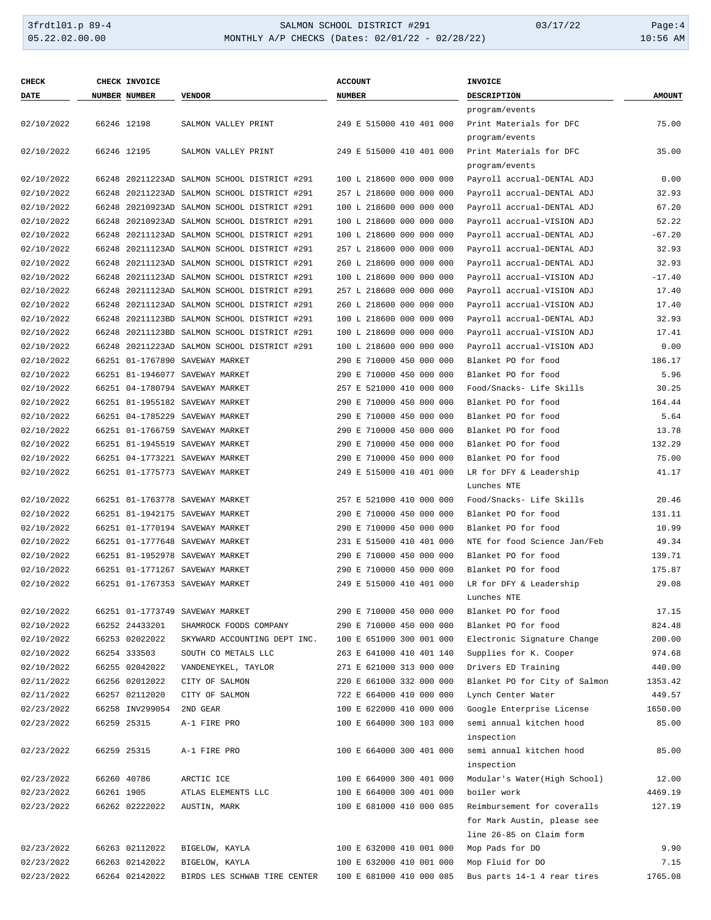### 3frdtl01.p 89-4 <br>
34.93 SALMON SCHOOL DISTRICT #291 03/17/22 Page:4<br>
35.22.02.00.00 MONTHLY A/P CHECKS (Dates: 02/01/22 - 02/28/22) 03/17/22 10:56 AM MONTHLY A/P CHECKS (Dates: 02/01/22 - 02/28/22)

| <b>CHECK</b> |            | CHECK INVOICE        |                                              | <b>ACCOUNT</b>           | <b>INVOICE</b>                |               |
|--------------|------------|----------------------|----------------------------------------------|--------------------------|-------------------------------|---------------|
| <b>DATE</b>  |            | <b>NUMBER NUMBER</b> | <b>VENDOR</b>                                | <b>NUMBER</b>            | <b>DESCRIPTION</b>            | <b>AMOUNT</b> |
|              |            |                      |                                              |                          | program/events                |               |
| 02/10/2022   |            | 66246 12198          | SALMON VALLEY PRINT                          | 249 E 515000 410 401 000 | Print Materials for DFC       | 75.00         |
|              |            |                      |                                              |                          | program/events                |               |
| 02/10/2022   |            | 66246 12195          | SALMON VALLEY PRINT                          | 249 E 515000 410 401 000 | Print Materials for DFC       | 35.00         |
|              |            |                      |                                              |                          | program/events                |               |
| 02/10/2022   |            |                      | 66248 20211223AD SALMON SCHOOL DISTRICT #291 | 100 L 218600 000 000 000 | Payroll accrual-DENTAL ADJ    | 0.00          |
| 02/10/2022   |            |                      | 66248 20211223AD SALMON SCHOOL DISTRICT #291 | 257 L 218600 000 000 000 | Payroll accrual-DENTAL ADJ    | 32.93         |
| 02/10/2022   |            |                      | 66248 20210923AD SALMON SCHOOL DISTRICT #291 | 100 L 218600 000 000 000 | Payroll accrual-DENTAL ADJ    | 67.20         |
| 02/10/2022   |            |                      | 66248 20210923AD SALMON SCHOOL DISTRICT #291 | 100 L 218600 000 000 000 | Payroll accrual-VISION ADJ    | 52.22         |
| 02/10/2022   |            |                      | 66248 20211123AD SALMON SCHOOL DISTRICT #291 | 100 L 218600 000 000 000 | Payroll accrual-DENTAL ADJ    | $-67.20$      |
| 02/10/2022   |            |                      | 66248 20211123AD SALMON SCHOOL DISTRICT #291 | 257 L 218600 000 000 000 | Payroll accrual-DENTAL ADJ    | 32.93         |
| 02/10/2022   |            |                      | 66248 20211123AD SALMON SCHOOL DISTRICT #291 | 260 L 218600 000 000 000 | Payroll accrual-DENTAL ADJ    | 32.93         |
| 02/10/2022   |            |                      | 66248 20211123AD SALMON SCHOOL DISTRICT #291 | 100 L 218600 000 000 000 | Payroll accrual-VISION ADJ    | $-17.40$      |
| 02/10/2022   |            |                      | 66248 20211123AD SALMON SCHOOL DISTRICT #291 | 257 L 218600 000 000 000 | Payroll accrual-VISION ADJ    | 17.40         |
| 02/10/2022   |            |                      | 66248 20211123AD SALMON SCHOOL DISTRICT #291 | 260 L 218600 000 000 000 | Payroll accrual-VISION ADJ    | 17.40         |
| 02/10/2022   |            |                      | 66248 20211123BD SALMON SCHOOL DISTRICT #291 | 100 L 218600 000 000 000 | Payroll accrual-DENTAL ADJ    | 32.93         |
| 02/10/2022   |            |                      | 66248 20211123BD SALMON SCHOOL DISTRICT #291 | 100 L 218600 000 000 000 | Payroll accrual-VISION ADJ    | 17.41         |
| 02/10/2022   |            |                      | 66248 20211223AD SALMON SCHOOL DISTRICT #291 | 100 L 218600 000 000 000 | Payroll accrual-VISION ADJ    | 0.00          |
| 02/10/2022   |            |                      | 66251 01-1767890 SAVEWAY MARKET              | 290 E 710000 450 000 000 | Blanket PO for food           | 186.17        |
| 02/10/2022   |            |                      | 66251 81-1946077 SAVEWAY MARKET              | 290 E 710000 450 000 000 | Blanket PO for food           | 5.96          |
| 02/10/2022   |            |                      | 66251 04-1780794 SAVEWAY MARKET              | 257 E 521000 410 000 000 | Food/Snacks- Life Skills      | 30.25         |
| 02/10/2022   |            |                      | 66251 81-1955182 SAVEWAY MARKET              | 290 E 710000 450 000 000 | Blanket PO for food           | 164.44        |
| 02/10/2022   |            |                      | 66251 04-1785229 SAVEWAY MARKET              | 290 E 710000 450 000 000 | Blanket PO for food           | 5.64          |
| 02/10/2022   |            |                      | 66251 01-1766759 SAVEWAY MARKET              | 290 E 710000 450 000 000 | Blanket PO for food           | 13.78         |
|              |            |                      |                                              |                          |                               | 132.29        |
| 02/10/2022   |            |                      | 66251 81-1945519 SAVEWAY MARKET              | 290 E 710000 450 000 000 | Blanket PO for food           |               |
| 02/10/2022   |            |                      | 66251 04-1773221 SAVEWAY MARKET              | 290 E 710000 450 000 000 | Blanket PO for food           | 75.00         |
| 02/10/2022   |            |                      | 66251 01-1775773 SAVEWAY MARKET              | 249 E 515000 410 401 000 | LR for DFY & Leadership       | 41.17         |
|              |            |                      |                                              |                          | Lunches NTE                   |               |
| 02/10/2022   |            |                      | 66251 01-1763778 SAVEWAY MARKET              | 257 E 521000 410 000 000 | Food/Snacks- Life Skills      | 20.46         |
| 02/10/2022   |            |                      | 66251 81-1942175 SAVEWAY MARKET              | 290 E 710000 450 000 000 | Blanket PO for food           | 131.11        |
| 02/10/2022   |            |                      | 66251 01-1770194 SAVEWAY MARKET              | 290 E 710000 450 000 000 | Blanket PO for food           | 10.99         |
| 02/10/2022   |            |                      | 66251 01-1777648 SAVEWAY MARKET              | 231 E 515000 410 401 000 | NTE for food Science Jan/Feb  | 49.34         |
| 02/10/2022   |            |                      | 66251 81-1952978 SAVEWAY MARKET              | 290 E 710000 450 000 000 | Blanket PO for food           | 139.71        |
| 02/10/2022   |            |                      | 66251 01-1771267 SAVEWAY MARKET              | 290 E 710000 450 000 000 | Blanket PO for food           | 175.87        |
| 02/10/2022   |            |                      | 66251 01-1767353 SAVEWAY MARKET              | 249 E 515000 410 401 000 | LR for DFY & Leadership       | 29.08         |
|              |            |                      |                                              |                          | Lunches NTE                   |               |
| 02/10/2022   |            |                      | 66251 01-1773749 SAVEWAY MARKET              | 290 E 710000 450 000 000 | Blanket PO for food           | 17.15         |
| 02/10/2022   |            | 66252 24433201       | SHAMROCK FOODS COMPANY                       | 290 E 710000 450 000 000 | Blanket PO for food           | 824.48        |
| 02/10/2022   |            | 66253 02022022       | SKYWARD ACCOUNTING DEPT INC.                 | 100 E 651000 300 001 000 | Electronic Signature Change   | 200.00        |
| 02/10/2022   |            | 66254 333503         | SOUTH CO METALS LLC                          | 263 E 641000 410 401 140 | Supplies for K. Cooper        | 974.68        |
| 02/10/2022   |            | 66255 02042022       | VANDENEYKEL, TAYLOR                          | 271 E 621000 313 000 000 | Drivers ED Training           | 440.00        |
| 02/11/2022   |            | 66256 02012022       | CITY OF SALMON                               | 220 E 661000 332 000 000 | Blanket PO for City of Salmon | 1353.42       |
| 02/11/2022   |            | 66257 02112020       | CITY OF SALMON                               | 722 E 664000 410 000 000 | Lynch Center Water            | 449.57        |
| 02/23/2022   |            | 66258 INV299054      | 2ND GEAR                                     | 100 E 622000 410 000 000 | Google Enterprise License     | 1650.00       |
| 02/23/2022   |            | 66259 25315          | A-1 FIRE PRO                                 | 100 E 664000 300 103 000 | semi annual kitchen hood      | 85.00         |
|              |            |                      |                                              |                          | inspection                    |               |
| 02/23/2022   |            | 66259 25315          | A-1 FIRE PRO                                 | 100 E 664000 300 401 000 | semi annual kitchen hood      | 85.00         |
|              |            |                      |                                              |                          | inspection                    |               |
| 02/23/2022   |            | 66260 40786          | ARCTIC ICE                                   | 100 E 664000 300 401 000 | Modular's Water(High School)  | 12.00         |
| 02/23/2022   | 66261 1905 |                      | ATLAS ELEMENTS LLC                           | 100 E 664000 300 401 000 | boiler work                   | 4469.19       |
| 02/23/2022   |            | 66262 02222022       | AUSTIN, MARK                                 | 100 E 681000 410 000 085 | Reimbursement for coveralls   | 127.19        |
|              |            |                      |                                              |                          | for Mark Austin, please see   |               |
|              |            |                      |                                              |                          | line 26-85 on Claim form      |               |
| 02/23/2022   |            | 66263 02112022       | BIGELOW, KAYLA                               | 100 E 632000 410 001 000 | Mop Pads for DO               | 9.90          |
| 02/23/2022   |            | 66263 02142022       | BIGELOW, KAYLA                               | 100 E 632000 410 001 000 | Mop Fluid for DO              | 7.15          |
| 02/23/2022   |            | 66264 02142022       | BIRDS LES SCHWAB TIRE CENTER                 | 100 E 681000 410 000 085 | Bus parts 14-1 4 rear tires   | 1765.08       |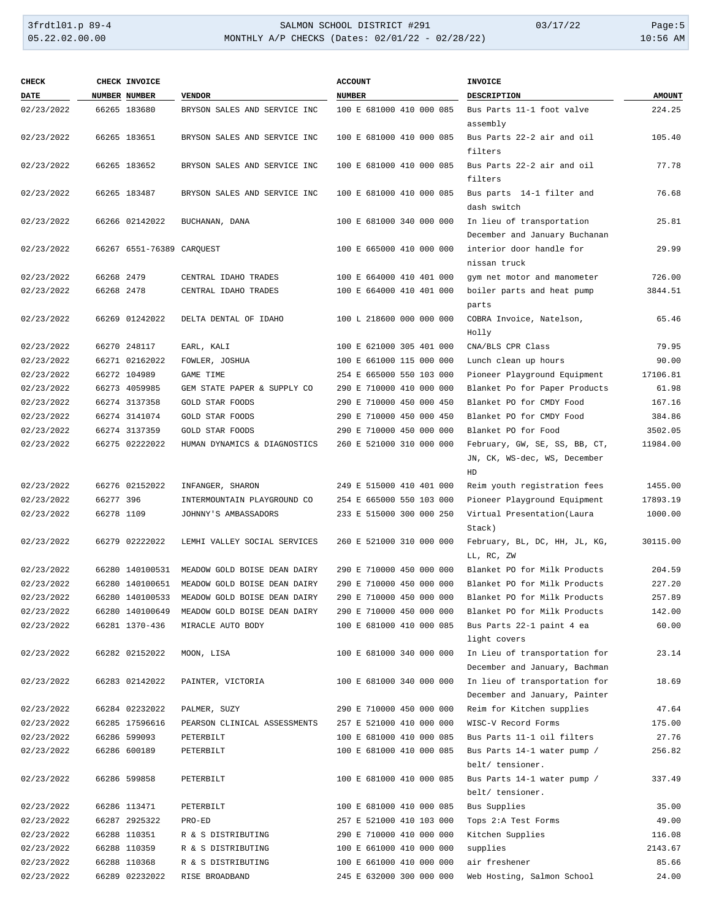# 3frdtl01.p 89-4 SALMON SCHOOL DISTRICT #291 03/17/22 Page:5 MONTHLY A/P CHECKS (Dates: 02/01/22 - 02/28/22)

| <b>CHECK</b> |            | CHECK INVOICE             |                              | <b>ACCOUNT</b>           | <b>INVOICE</b>                                                 |               |
|--------------|------------|---------------------------|------------------------------|--------------------------|----------------------------------------------------------------|---------------|
| DATE         |            | NUMBER NUMBER             | <b>VENDOR</b>                | <b>NUMBER</b>            | <b>DESCRIPTION</b>                                             | <b>AMOUNT</b> |
| 02/23/2022   |            | 66265 183680              | BRYSON SALES AND SERVICE INC | 100 E 681000 410 000 085 | Bus Parts 11-1 foot valve<br>assembly                          | 224.25        |
| 02/23/2022   |            | 66265 183651              | BRYSON SALES AND SERVICE INC | 100 E 681000 410 000 085 | Bus Parts 22-2 air and oil<br>filters                          | 105.40        |
| 02/23/2022   |            | 66265 183652              | BRYSON SALES AND SERVICE INC | 100 E 681000 410 000 085 | Bus Parts 22-2 air and oil<br>filters                          | 77.78         |
| 02/23/2022   |            | 66265 183487              | BRYSON SALES AND SERVICE INC | 100 E 681000 410 000 085 | Bus parts 14-1 filter and<br>dash switch                       | 76.68         |
| 02/23/2022   |            | 66266 02142022            | BUCHANAN, DANA               | 100 E 681000 340 000 000 | In lieu of transportation<br>December and January Buchanan     | 25.81         |
| 02/23/2022   |            | 66267 6551-76389 CARQUEST |                              | 100 E 665000 410 000 000 | interior door handle for<br>nissan truck                       | 29.99         |
| 02/23/2022   | 66268 2479 |                           | CENTRAL IDAHO TRADES         | 100 E 664000 410 401 000 | gym net motor and manometer                                    | 726.00        |
| 02/23/2022   | 66268 2478 |                           | CENTRAL IDAHO TRADES         | 100 E 664000 410 401 000 | boiler parts and heat pump<br>parts                            | 3844.51       |
| 02/23/2022   |            | 66269 01242022            | DELTA DENTAL OF IDAHO        | 100 L 218600 000 000 000 | COBRA Invoice, Natelson,<br>Holly                              | 65.46         |
| 02/23/2022   |            | 66270 248117              | EARL, KALI                   | 100 E 621000 305 401 000 | CNA/BLS CPR Class                                              | 79.95         |
| 02/23/2022   |            | 66271 02162022            | FOWLER, JOSHUA               | 100 E 661000 115 000 000 | Lunch clean up hours                                           | 90.00         |
| 02/23/2022   |            | 66272 104989              | <b>GAME TIME</b>             | 254 E 665000 550 103 000 | Pioneer Playground Equipment                                   | 17106.81      |
| 02/23/2022   |            | 66273 4059985             | GEM STATE PAPER & SUPPLY CO  | 290 E 710000 410 000 000 | Blanket Po for Paper Products                                  | 61.98         |
| 02/23/2022   |            | 66274 3137358             | GOLD STAR FOODS              | 290 E 710000 450 000 450 | Blanket PO for CMDY Food                                       | 167.16        |
| 02/23/2022   |            | 66274 3141074             | GOLD STAR FOODS              | 290 E 710000 450 000 450 | Blanket PO for CMDY Food                                       | 384.86        |
| 02/23/2022   |            | 66274 3137359             | GOLD STAR FOODS              | 290 E 710000 450 000 000 | Blanket PO for Food                                            | 3502.05       |
| 02/23/2022   |            | 66275 02222022            | HUMAN DYNAMICS & DIAGNOSTICS | 260 E 521000 310 000 000 | February, GW, SE, SS, BB, CT,<br>JN, CK, WS-dec, WS, December  | 11984.00      |
|              |            |                           |                              |                          | HD                                                             |               |
| 02/23/2022   |            | 66276 02152022            | INFANGER, SHARON             | 249 E 515000 410 401 000 | Reim youth registration fees                                   | 1455.00       |
| 02/23/2022   | 66277 396  |                           | INTERMOUNTAIN PLAYGROUND CO  | 254 E 665000 550 103 000 | Pioneer Playground Equipment                                   | 17893.19      |
| 02/23/2022   | 66278 1109 |                           | JOHNNY'S AMBASSADORS         | 233 E 515000 300 000 250 | Virtual Presentation(Laura<br>Stack)                           | 1000.00       |
| 02/23/2022   |            | 66279 02222022            | LEMHI VALLEY SOCIAL SERVICES | 260 E 521000 310 000 000 | February, BL, DC, HH, JL, KG,<br>LL, RC, ZW                    | 30115.00      |
| 02/23/2022   |            | 66280 140100531           | MEADOW GOLD BOISE DEAN DAIRY | 290 E 710000 450 000 000 | Blanket PO for Milk Products                                   | 204.59        |
| 02/23/2022   |            | 66280 140100651           | MEADOW GOLD BOISE DEAN DAIRY | 290 E 710000 450 000 000 | Blanket PO for Milk Products                                   | 227.20        |
| 02/23/2022   |            | 66280 140100533           | MEADOW GOLD BOISE DEAN DAIRY | 290 E 710000 450 000 000 | Blanket PO for Milk Products                                   | 257.89        |
| 02/23/2022   |            | 66280 140100649           | MEADOW GOLD BOISE DEAN DAIRY | 290 E 710000 450 000 000 | Blanket PO for Milk Products                                   | 142.00        |
| 02/23/2022   |            | 66281 1370-436            | MIRACLE AUTO BODY            | 100 E 681000 410 000 085 | Bus Parts 22-1 paint 4 ea<br>light covers                      | 60.00         |
| 02/23/2022   |            | 66282 02152022            | MOON, LISA                   | 100 E 681000 340 000 000 | In Lieu of transportation for<br>December and January, Bachman | 23.14         |
| 02/23/2022   |            | 66283 02142022            | PAINTER, VICTORIA            | 100 E 681000 340 000 000 | In lieu of transportation for<br>December and January, Painter | 18.69         |
| 02/23/2022   |            | 66284 02232022            | PALMER, SUZY                 | 290 E 710000 450 000 000 | Reim for Kitchen supplies                                      | 47.64         |
| 02/23/2022   |            | 66285 17596616            | PEARSON CLINICAL ASSESSMENTS | 257 E 521000 410 000 000 | WISC-V Record Forms                                            | 175.00        |
| 02/23/2022   |            | 66286 599093              | PETERBILT                    | 100 E 681000 410 000 085 | Bus Parts 11-1 oil filters                                     | 27.76         |
| 02/23/2022   |            | 66286 600189              | PETERBILT                    | 100 E 681000 410 000 085 | Bus Parts 14-1 water pump /<br>belt/ tensioner.                | 256.82        |
| 02/23/2022   |            | 66286 599858              | PETERBILT                    | 100 E 681000 410 000 085 | Bus Parts 14-1 water pump /<br>belt/ tensioner.                | 337.49        |
| 02/23/2022   |            | 66286 113471              | PETERBILT                    | 100 E 681000 410 000 085 | Bus Supplies                                                   | 35.00         |
| 02/23/2022   |            | 66287 2925322             | PRO-ED                       | 257 E 521000 410 103 000 | Tops 2:A Test Forms                                            | 49.00         |
| 02/23/2022   |            | 66288 110351              | R & S DISTRIBUTING           | 290 E 710000 410 000 000 | Kitchen Supplies                                               | 116.08        |
| 02/23/2022   |            | 66288 110359              | R & S DISTRIBUTING           | 100 E 661000 410 000 000 | supplies                                                       | 2143.67       |
| 02/23/2022   |            | 66288 110368              | R & S DISTRIBUTING           | 100 E 661000 410 000 000 | air freshener                                                  | 85.66         |
| 02/23/2022   |            | 66289 02232022            | RISE BROADBAND               | 245 E 632000 300 000 000 | Web Hosting, Salmon School                                     | 24.00         |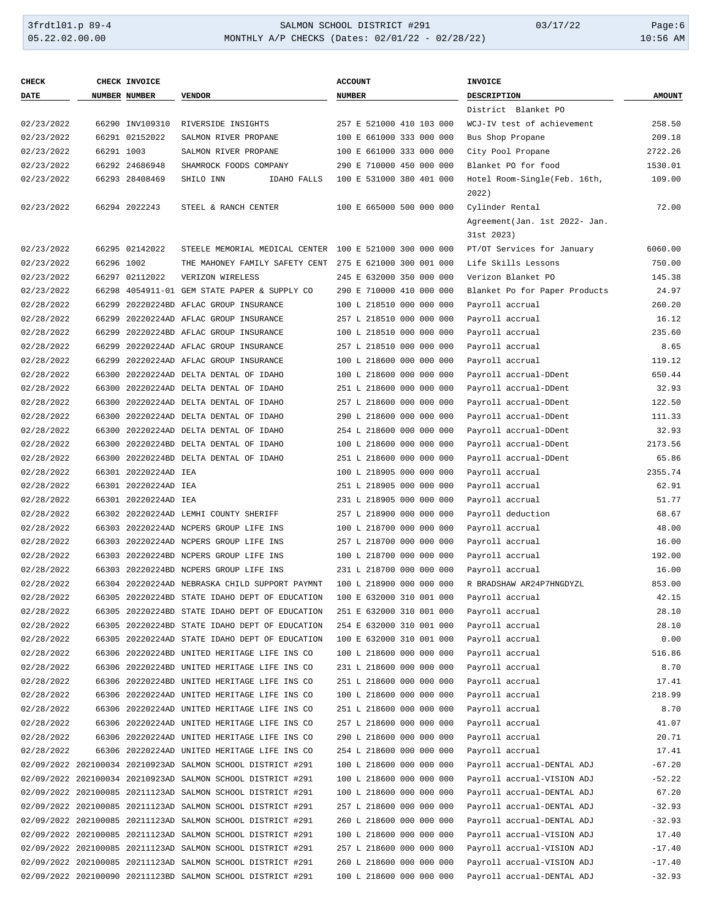### 3frdtl01.p 89-4 <br>
34.00.00 SALMON SCHOOL DISTRICT #291 03/17/22 Page:6<br>
31.02.02.00.00 MONTHLY A/P CHECKS (Dates: 02/01/22 - 02/28/22) MONTHLY A/P CHECKS (Dates: 02/01/22 - 02/28/22)

| <b>CHECK</b> |            | CHECK INVOICE        |                                                             | <b>ACCOUNT</b>           | INVOICE                        |               |
|--------------|------------|----------------------|-------------------------------------------------------------|--------------------------|--------------------------------|---------------|
| <b>DATE</b>  |            | NUMBER NUMBER        | <b>VENDOR</b>                                               | <b>NUMBER</b>            | DESCRIPTION                    | <b>AMOUNT</b> |
|              |            |                      |                                                             |                          | District Blanket PO            |               |
| 02/23/2022   |            | 66290 INV109310      | RIVERSIDE INSIGHTS                                          | 257 E 521000 410 103 000 | WCJ-IV test of achievement     | 258.50        |
| 02/23/2022   |            | 66291 02152022       | SALMON RIVER PROPANE                                        | 100 E 661000 333 000 000 | Bus Shop Propane               | 209.18        |
| 02/23/2022   | 66291 1003 |                      | SALMON RIVER PROPANE                                        | 100 E 661000 333 000 000 | City Pool Propane              | 2722.26       |
| 02/23/2022   |            | 66292 24686948       | SHAMROCK FOODS COMPANY                                      | 290 E 710000 450 000 000 | Blanket PO for food            | 1530.01       |
| 02/23/2022   |            | 66293 28408469       | SHILO INN<br>IDAHO FALLS                                    | 100 E 531000 380 401 000 | Hotel Room-Single(Feb. 16th,   | 109.00        |
|              |            |                      |                                                             |                          | 2022)                          |               |
| 02/23/2022   |            | 66294 2022243        | STEEL & RANCH CENTER                                        | 100 E 665000 500 000 000 | Cylinder Rental                | 72.00         |
|              |            |                      |                                                             |                          | Agreement (Jan. 1st 2022- Jan. |               |
|              |            |                      |                                                             |                          | 31st 2023)                     |               |
| 02/23/2022   |            | 66295 02142022       | STEELE MEMORIAL MEDICAL CENTER 100 E 521000 300 000 000     |                          | PT/OT Services for January     | 6060.00       |
| 02/23/2022   | 66296 1002 |                      | THE MAHONEY FAMILY SAFETY CENT                              | 275 E 621000 300 001 000 | Life Skills Lessons            | 750.00        |
| 02/23/2022   |            | 66297 02112022       | VERIZON WIRELESS                                            | 245 E 632000 350 000 000 | Verizon Blanket PO             | 145.38        |
| 02/23/2022   | 66298      |                      | 4054911-01 GEM STATE PAPER & SUPPLY CO                      | 290 E 710000 410 000 000 | Blanket Po for Paper Products  | 24.97         |
| 02/28/2022   |            |                      | 66299 20220224BD AFLAC GROUP INSURANCE                      | 100 L 218510 000 000 000 | Payroll accrual                | 260.20        |
| 02/28/2022   |            |                      | 66299 20220224AD AFLAC GROUP INSURANCE                      | 257 L 218510 000 000 000 | Payroll accrual                | 16.12         |
| 02/28/2022   |            |                      | 66299 20220224BD AFLAC GROUP INSURANCE                      | 100 L 218510 000 000 000 | Payroll accrual                | 235.60        |
| 02/28/2022   |            |                      | 66299 20220224AD AFLAC GROUP INSURANCE                      | 257 L 218510 000 000 000 | Payroll accrual                | 8.65          |
| 02/28/2022   |            |                      | 66299 20220224AD AFLAC GROUP INSURANCE                      | 100 L 218600 000 000 000 | Payroll accrual                | 119.12        |
| 02/28/2022   |            |                      | 66300 20220224AD DELTA DENTAL OF IDAHO                      | 100 L 218600 000 000 000 | Payroll accrual-DDent          | 650.44        |
| 02/28/2022   |            |                      | 66300 20220224AD DELTA DENTAL OF IDAHO                      | 251 L 218600 000 000 000 | Payroll accrual-DDent          | 32.93         |
| 02/28/2022   |            |                      | 66300 20220224AD DELTA DENTAL OF IDAHO                      | 257 L 218600 000 000 000 | Payroll accrual-DDent          | 122.50        |
| 02/28/2022   |            |                      | 66300 20220224AD DELTA DENTAL OF IDAHO                      | 290 L 218600 000 000 000 | Payroll accrual-DDent          | 111.33        |
| 02/28/2022   |            |                      | 66300 20220224AD DELTA DENTAL OF IDAHO                      | 254 L 218600 000 000 000 | Payroll accrual-DDent          | 32.93         |
| 02/28/2022   |            |                      | 66300 20220224BD DELTA DENTAL OF IDAHO                      | 100 L 218600 000 000 000 | Payroll accrual-DDent          | 2173.56       |
| 02/28/2022   |            |                      | 66300 20220224BD DELTA DENTAL OF IDAHO                      | 251 L 218600 000 000 000 | Payroll accrual-DDent          | 65.86         |
| 02/28/2022   |            | 66301 20220224AD IEA |                                                             | 100 L 218905 000 000 000 | Payroll accrual                | 2355.74       |
| 02/28/2022   |            | 66301 20220224AD IEA |                                                             | 251 L 218905 000 000 000 | Payroll accrual                | 62.91         |
| 02/28/2022   |            | 66301 20220224AD IEA |                                                             | 231 L 218905 000 000 000 | Payroll accrual                | 51.77         |
| 02/28/2022   |            |                      | 66302 20220224AD LEMHI COUNTY SHERIFF                       | 257 L 218900 000 000 000 | Payroll deduction              | 68.67         |
| 02/28/2022   |            |                      | 66303 20220224AD NCPERS GROUP LIFE INS                      | 100 L 218700 000 000 000 | Payroll accrual                | 48.00         |
| 02/28/2022   |            |                      | 66303 20220224AD NCPERS GROUP LIFE INS                      | 257 L 218700 000 000 000 | Payroll accrual                | 16.00         |
| 02/28/2022   |            |                      | 66303 20220224BD NCPERS GROUP LIFE INS                      | 100 L 218700 000 000 000 | Payroll accrual                | 192.00        |
| 02/28/2022   |            |                      | 66303 20220224BD NCPERS GROUP LIFE INS                      | 231 L 218700 000 000 000 | Payroll accrual                | 16.00         |
| 02/28/2022   |            |                      | 66304 20220224AD NEBRASKA CHILD SUPPORT PAYMNT              | 100 L 218900 000 000 000 | R BRADSHAW AR24P7HNGDYZL       | 853.00        |
| 02/28/2022   |            |                      | 66305 20220224BD STATE IDAHO DEPT OF EDUCATION              | 100 E 632000 310 001 000 | Payroll accrual                | 42.15         |
| 02/28/2022   |            |                      | 66305 20220224BD STATE IDAHO DEPT OF EDUCATION              | 251 E 632000 310 001 000 | Payroll accrual                | 28.10         |
| 02/28/2022   |            |                      | 66305 20220224BD STATE IDAHO DEPT OF EDUCATION              | 254 E 632000 310 001 000 | Payroll accrual                | 28.10         |
| 02/28/2022   |            |                      | 66305 20220224AD STATE IDAHO DEPT OF EDUCATION              | 100 E 632000 310 001 000 | Payroll accrual                | 0.00          |
| 02/28/2022   |            |                      | 66306 20220224BD UNITED HERITAGE LIFE INS CO                | 100 L 218600 000 000 000 | Payroll accrual                | 516.86        |
| 02/28/2022   |            |                      | 66306 20220224BD UNITED HERITAGE LIFE INS CO                | 231 L 218600 000 000 000 | Payroll accrual                | 8.70          |
| 02/28/2022   |            |                      | 66306 20220224BD UNITED HERITAGE LIFE INS CO                | 251 L 218600 000 000 000 | Payroll accrual                | 17.41         |
| 02/28/2022   |            |                      | 66306 20220224AD UNITED HERITAGE LIFE INS CO                | 100 L 218600 000 000 000 | Payroll accrual                | 218.99        |
| 02/28/2022   |            |                      | 66306 20220224AD UNITED HERITAGE LIFE INS CO                | 251 L 218600 000 000 000 | Payroll accrual                | 8.70          |
| 02/28/2022   |            |                      | 66306 20220224AD UNITED HERITAGE LIFE INS CO                | 257 L 218600 000 000 000 | Payroll accrual                | 41.07         |
| 02/28/2022   |            |                      | 66306 20220224AD UNITED HERITAGE LIFE INS CO                | 290 L 218600 000 000 000 | Payroll accrual                | 20.71         |
| 02/28/2022   |            |                      | 66306 20220224AD UNITED HERITAGE LIFE INS CO                | 254 L 218600 000 000 000 | Payroll accrual                | 17.41         |
|              |            |                      | 02/09/2022 202100034 20210923AD SALMON SCHOOL DISTRICT #291 | 100 L 218600 000 000 000 | Payroll accrual-DENTAL ADJ     | $-67.20$      |
|              |            |                      | 02/09/2022 202100034 20210923AD SALMON SCHOOL DISTRICT #291 | 100 L 218600 000 000 000 | Payroll accrual-VISION ADJ     | $-52.22$      |
|              |            |                      | 02/09/2022 202100085 20211123AD SALMON SCHOOL DISTRICT #291 | 100 L 218600 000 000 000 | Payroll accrual-DENTAL ADJ     | 67.20         |
|              |            |                      | 02/09/2022 202100085 20211123AD SALMON SCHOOL DISTRICT #291 | 257 L 218600 000 000 000 | Payroll accrual-DENTAL ADJ     | $-32.93$      |
|              |            |                      | 02/09/2022 202100085 20211123AD SALMON SCHOOL DISTRICT #291 | 260 L 218600 000 000 000 | Payroll accrual-DENTAL ADJ     | $-32.93$      |
|              |            |                      | 02/09/2022 202100085 20211123AD SALMON SCHOOL DISTRICT #291 | 100 L 218600 000 000 000 | Payroll accrual-VISION ADJ     | 17.40         |
|              |            |                      | 02/09/2022 202100085 20211123AD SALMON SCHOOL DISTRICT #291 | 257 L 218600 000 000 000 | Payroll accrual-VISION ADJ     | $-17.40$      |
|              |            |                      | 02/09/2022 202100085 20211123AD SALMON SCHOOL DISTRICT #291 | 260 L 218600 000 000 000 | Payroll accrual-VISION ADJ     | $-17.40$      |
|              |            |                      | 02/09/2022 202100090 20211123BD SALMON SCHOOL DISTRICT #291 | 100 L 218600 000 000 000 | Payroll accrual-DENTAL ADJ     | $-32.93$      |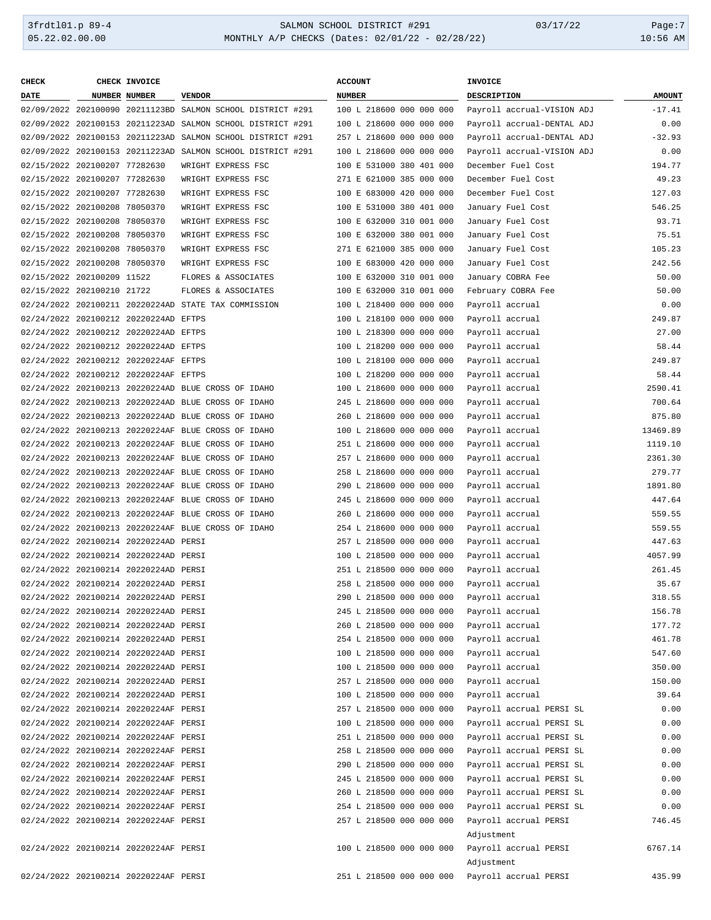### 3frdtl01.p 89-4 SALMON SCHOOL DISTRICT #291 03/17/22 Page:7 MONTHLY A/P CHECKS (Dates: 02/01/22 - 02/28/22)

| <b>CHECK</b>                  | CHECK INVOICE                         |                                                             | <b>ACCOUNT</b>           | INVOICE                    |               |
|-------------------------------|---------------------------------------|-------------------------------------------------------------|--------------------------|----------------------------|---------------|
| <b>DATE</b>                   | <b>NUMBER NUMBER</b>                  | <b>VENDOR</b>                                               | <b>NUMBER</b>            | DESCRIPTION                | <b>AMOUNT</b> |
|                               |                                       | 02/09/2022 202100090 20211123BD SALMON SCHOOL DISTRICT #291 | 100 L 218600 000 000 000 | Payroll accrual-VISION ADJ | $-17.41$      |
|                               |                                       | 02/09/2022 202100153 20211223AD SALMON SCHOOL DISTRICT #291 | 100 L 218600 000 000 000 | Payroll accrual-DENTAL ADJ | 0.00          |
|                               |                                       | 02/09/2022 202100153 20211223AD SALMON SCHOOL DISTRICT #291 | 257 L 218600 000 000 000 | Payroll accrual-DENTAL ADJ | $-32.93$      |
|                               |                                       | 02/09/2022 202100153 20211223AD SALMON SCHOOL DISTRICT #291 | 100 L 218600 000 000 000 | Payroll accrual-VISION ADJ | 0.00          |
| 02/15/2022 202100207 77282630 |                                       | WRIGHT EXPRESS FSC                                          | 100 E 531000 380 401 000 | December Fuel Cost         | 194.77        |
| 02/15/2022 202100207 77282630 |                                       | WRIGHT EXPRESS FSC                                          | 271 E 621000 385 000 000 | December Fuel Cost         | 49.23         |
| 02/15/2022 202100207 77282630 |                                       | WRIGHT EXPRESS FSC                                          | 100 E 683000 420 000 000 | December Fuel Cost         | 127.03        |
| 02/15/2022 202100208 78050370 |                                       | WRIGHT EXPRESS FSC                                          | 100 E 531000 380 401 000 | January Fuel Cost          | 546.25        |
| 02/15/2022 202100208 78050370 |                                       | WRIGHT EXPRESS FSC                                          | 100 E 632000 310 001 000 | January Fuel Cost          | 93.71         |
| 02/15/2022 202100208 78050370 |                                       | WRIGHT EXPRESS FSC                                          | 100 E 632000 380 001 000 | January Fuel Cost          | 75.51         |
| 02/15/2022 202100208 78050370 |                                       | WRIGHT EXPRESS FSC                                          | 271 E 621000 385 000 000 | January Fuel Cost          | 105.23        |
| 02/15/2022 202100208 78050370 |                                       | WRIGHT EXPRESS FSC                                          | 100 E 683000 420 000 000 | January Fuel Cost          | 242.56        |
| 02/15/2022 202100209 11522    |                                       | FLORES & ASSOCIATES                                         | 100 E 632000 310 001 000 | January COBRA Fee          | 50.00         |
| 02/15/2022 202100210 21722    |                                       | FLORES & ASSOCIATES                                         | 100 E 632000 310 001 000 | February COBRA Fee         | 50.00         |
|                               |                                       | 02/24/2022 202100211 20220224AD STATE TAX COMMISSION        | 100 L 218400 000 000 000 | Payroll accrual            | 0.00          |
|                               |                                       |                                                             |                          |                            |               |
|                               | 02/24/2022 202100212 20220224AD EFTPS |                                                             | 100 L 218100 000 000 000 | Payroll accrual            | 249.87        |
|                               | 02/24/2022 202100212 20220224AD EFTPS |                                                             | 100 L 218300 000 000 000 | Payroll accrual            | 27.00         |
|                               | 02/24/2022 202100212 20220224AD EFTPS |                                                             | 100 L 218200 000 000 000 | Payroll accrual            | 58.44         |
|                               | 02/24/2022 202100212 20220224AF EFTPS |                                                             | 100 L 218100 000 000 000 | Payroll accrual            | 249.87        |
|                               | 02/24/2022 202100212 20220224AF EFTPS |                                                             | 100 L 218200 000 000 000 | Payroll accrual            | 58.44         |
|                               |                                       | 02/24/2022 202100213 20220224AD BLUE CROSS OF IDAHO         | 100 L 218600 000 000 000 | Payroll accrual            | 2590.41       |
|                               |                                       | 02/24/2022 202100213 20220224AD BLUE CROSS OF IDAHO         | 245 L 218600 000 000 000 | Payroll accrual            | 700.64        |
|                               |                                       | 02/24/2022 202100213 20220224AD BLUE CROSS OF IDAHO         | 260 L 218600 000 000 000 | Payroll accrual            | 875.80        |
|                               |                                       | 02/24/2022 202100213 20220224AF BLUE CROSS OF IDAHO         | 100 L 218600 000 000 000 | Payroll accrual            | 13469.89      |
|                               |                                       | 02/24/2022 202100213 20220224AF BLUE CROSS OF IDAHO         | 251 L 218600 000 000 000 | Payroll accrual            | 1119.10       |
|                               |                                       | 02/24/2022 202100213 20220224AF BLUE CROSS OF IDAHO         | 257 L 218600 000 000 000 | Payroll accrual            | 2361.30       |
|                               |                                       | 02/24/2022 202100213 20220224AF BLUE CROSS OF IDAHO         | 258 L 218600 000 000 000 | Payroll accrual            | 279.77        |
|                               |                                       | 02/24/2022 202100213 20220224AF BLUE CROSS OF IDAHO         | 290 L 218600 000 000 000 | Payroll accrual            | 1891.80       |
|                               |                                       | 02/24/2022 202100213 20220224AF BLUE CROSS OF IDAHO         | 245 L 218600 000 000 000 | Payroll accrual            | 447.64        |
|                               |                                       | 02/24/2022 202100213 20220224AF BLUE CROSS OF IDAHO         | 260 L 218600 000 000 000 | Payroll accrual            | 559.55        |
|                               |                                       | 02/24/2022 202100213 20220224AF BLUE CROSS OF IDAHO         | 254 L 218600 000 000 000 | Payroll accrual            | 559.55        |
|                               | 02/24/2022 202100214 20220224AD PERSI |                                                             | 257 L 218500 000 000 000 | Payroll accrual            | 447.63        |
|                               | 02/24/2022 202100214 20220224AD PERSI |                                                             | 100 L 218500 000 000 000 | Payroll accrual            | 4057.99       |
|                               | 02/24/2022 202100214 20220224AD PERSI |                                                             | 251 L 218500 000 000 000 | Payroll accrual            | 261.45        |
|                               | 02/24/2022 202100214 20220224AD PERSI |                                                             | 258 L 218500 000 000 000 | Payroll accrual            | 35.67         |
|                               | 02/24/2022 202100214 20220224AD PERSI |                                                             | 290 L 218500 000 000 000 | Payroll accrual            | 318.55        |
|                               | 02/24/2022 202100214 20220224AD PERSI |                                                             | 245 L 218500 000 000 000 | Payroll accrual            | 156.78        |
|                               | 02/24/2022 202100214 20220224AD PERSI |                                                             | 260 L 218500 000 000 000 | Payroll accrual            | 177.72        |
|                               | 02/24/2022 202100214 20220224AD PERSI |                                                             | 254 L 218500 000 000 000 | Payroll accrual            | 461.78        |
|                               | 02/24/2022 202100214 20220224AD PERSI |                                                             | 100 L 218500 000 000 000 | Payroll accrual            | 547.60        |
|                               |                                       |                                                             |                          |                            |               |
|                               | 02/24/2022 202100214 20220224AD PERSI |                                                             | 100 L 218500 000 000 000 | Payroll accrual            | 350.00        |
|                               | 02/24/2022 202100214 20220224AD PERSI |                                                             | 257 L 218500 000 000 000 | Payroll accrual            | 150.00        |
|                               | 02/24/2022 202100214 20220224AD PERSI |                                                             | 100 L 218500 000 000 000 | Payroll accrual            | 39.64         |
|                               | 02/24/2022 202100214 20220224AF PERSI |                                                             | 257 L 218500 000 000 000 | Payroll accrual PERSI SL   | 0.00          |
|                               | 02/24/2022 202100214 20220224AF PERSI |                                                             | 100 L 218500 000 000 000 | Payroll accrual PERSI SL   | 0.00          |
|                               | 02/24/2022 202100214 20220224AF PERSI |                                                             | 251 L 218500 000 000 000 | Payroll accrual PERSI SL   | 0.00          |
|                               | 02/24/2022 202100214 20220224AF PERSI |                                                             | 258 L 218500 000 000 000 | Payroll accrual PERSI SL   | 0.00          |
|                               | 02/24/2022 202100214 20220224AF PERSI |                                                             | 290 L 218500 000 000 000 | Payroll accrual PERSI SL   | 0.00          |
|                               | 02/24/2022 202100214 20220224AF PERSI |                                                             | 245 L 218500 000 000 000 | Payroll accrual PERSI SL   | 0.00          |
|                               | 02/24/2022 202100214 20220224AF PERSI |                                                             | 260 L 218500 000 000 000 | Payroll accrual PERSI SL   | 0.00          |
|                               | 02/24/2022 202100214 20220224AF PERSI |                                                             | 254 L 218500 000 000 000 | Payroll accrual PERSI SL   | 0.00          |
|                               | 02/24/2022 202100214 20220224AF PERSI |                                                             | 257 L 218500 000 000 000 | Payroll accrual PERSI      | 746.45        |
|                               |                                       |                                                             |                          | Adjustment                 |               |
|                               | 02/24/2022 202100214 20220224AF PERSI |                                                             | 100 L 218500 000 000 000 | Payroll accrual PERSI      | 6767.14       |
|                               |                                       |                                                             |                          | Adjustment                 |               |
|                               | 02/24/2022 202100214 20220224AF PERSI |                                                             | 251 L 218500 000 000 000 | Payroll accrual PERSI      | 435.99        |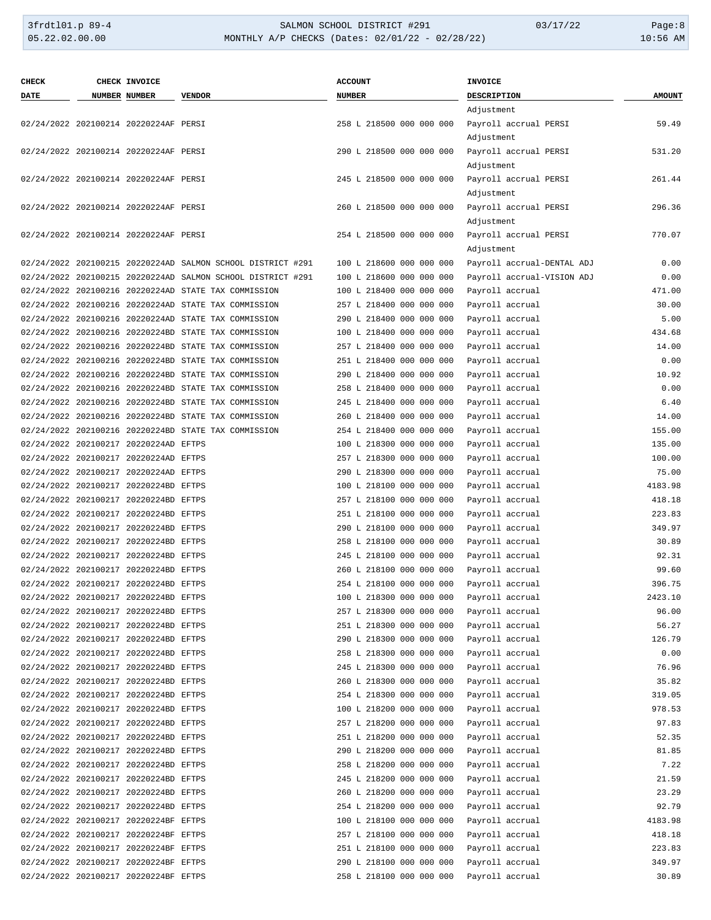### 3frdtl01.p 89-4 SALMON SCHOOL DISTRICT #291 03/17/22 Page:8 MONTHLY A/P CHECKS (Dates: 02/01/22 - 02/28/22)

| <b>CHECK</b> | CHECK INVOICE                         |                                                             | <b>ACCOUNT</b>           | <b>INVOICE</b>             |               |
|--------------|---------------------------------------|-------------------------------------------------------------|--------------------------|----------------------------|---------------|
| <b>DATE</b>  | NUMBER NUMBER                         | <b>VENDOR</b>                                               | <b>NUMBER</b>            | DESCRIPTION                | <b>AMOUNT</b> |
|              |                                       |                                                             |                          | Adjustment                 |               |
|              | 02/24/2022 202100214 20220224AF PERSI |                                                             | 258 L 218500 000 000 000 | Payroll accrual PERSI      | 59.49         |
|              |                                       |                                                             |                          | Adjustment                 |               |
|              | 02/24/2022 202100214 20220224AF PERSI |                                                             | 290 L 218500 000 000 000 | Payroll accrual PERSI      | 531.20        |
|              |                                       |                                                             |                          | Adjustment                 |               |
|              | 02/24/2022 202100214 20220224AF PERSI |                                                             | 245 L 218500 000 000 000 | Payroll accrual PERSI      | 261.44        |
|              |                                       |                                                             |                          | Adjustment                 |               |
|              | 02/24/2022 202100214 20220224AF PERSI |                                                             | 260 L 218500 000 000 000 | Payroll accrual PERSI      | 296.36        |
|              |                                       |                                                             |                          | Adjustment                 |               |
|              |                                       |                                                             |                          |                            |               |
|              | 02/24/2022 202100214 20220224AF PERSI |                                                             | 254 L 218500 000 000 000 | Payroll accrual PERSI      | 770.07        |
|              |                                       |                                                             |                          | Adjustment                 |               |
|              |                                       | 02/24/2022 202100215 20220224AD SALMON SCHOOL DISTRICT #291 | 100 L 218600 000 000 000 | Payroll accrual-DENTAL ADJ | 0.00          |
|              |                                       | 02/24/2022 202100215 20220224AD SALMON SCHOOL DISTRICT #291 | 100 L 218600 000 000 000 | Payroll accrual-VISION ADJ | 0.00          |
|              |                                       | 02/24/2022 202100216 20220224AD STATE TAX COMMISSION        | 100 L 218400 000 000 000 | Payroll accrual            | 471.00        |
|              |                                       | 02/24/2022 202100216 20220224AD STATE TAX COMMISSION        | 257 L 218400 000 000 000 | Payroll accrual            | 30.00         |
|              |                                       | 02/24/2022 202100216 20220224AD STATE TAX COMMISSION        | 290 L 218400 000 000 000 | Payroll accrual            | 5.00          |
|              |                                       | 02/24/2022 202100216 20220224BD STATE TAX COMMISSION        | 100 L 218400 000 000 000 | Payroll accrual            | 434.68        |
|              |                                       | 02/24/2022 202100216 20220224BD STATE TAX COMMISSION        | 257 L 218400 000 000 000 | Payroll accrual            | 14.00         |
|              |                                       | 02/24/2022 202100216 20220224BD STATE TAX COMMISSION        | 251 L 218400 000 000 000 | Payroll accrual            | 0.00          |
|              |                                       | 02/24/2022 202100216 20220224BD STATE TAX COMMISSION        | 290 L 218400 000 000 000 | Payroll accrual            | 10.92         |
|              |                                       | 02/24/2022 202100216 20220224BD STATE TAX COMMISSION        | 258 L 218400 000 000 000 | Payroll accrual            | 0.00          |
|              |                                       | 02/24/2022 202100216 20220224BD STATE TAX COMMISSION        | 245 L 218400 000 000 000 | Payroll accrual            | 6.40          |
|              |                                       | 02/24/2022 202100216 20220224BD STATE TAX COMMISSION        | 260 L 218400 000 000 000 | Payroll accrual            | 14.00         |
|              |                                       | 02/24/2022 202100216 20220224BD STATE TAX COMMISSION        | 254 L 218400 000 000 000 | Payroll accrual            | 155.00        |
|              | 02/24/2022 202100217 20220224AD EFTPS |                                                             | 100 L 218300 000 000 000 | Payroll accrual            | 135.00        |
|              | 02/24/2022 202100217 20220224AD EFTPS |                                                             | 257 L 218300 000 000 000 | Payroll accrual            | 100.00        |
|              | 02/24/2022 202100217 20220224AD EFTPS |                                                             | 290 L 218300 000 000 000 | Payroll accrual            | 75.00         |
|              |                                       |                                                             |                          |                            | 4183.98       |
|              | 02/24/2022 202100217 20220224BD EFTPS |                                                             | 100 L 218100 000 000 000 | Payroll accrual            |               |
|              | 02/24/2022 202100217 20220224BD EFTPS |                                                             | 257 L 218100 000 000 000 | Payroll accrual            | 418.18        |
|              | 02/24/2022 202100217 20220224BD EFTPS |                                                             | 251 L 218100 000 000 000 | Payroll accrual            | 223.83        |
|              | 02/24/2022 202100217 20220224BD EFTPS |                                                             | 290 L 218100 000 000 000 | Payroll accrual            | 349.97        |
|              | 02/24/2022 202100217 20220224BD EFTPS |                                                             | 258 L 218100 000 000 000 | Payroll accrual            | 30.89         |
|              | 02/24/2022 202100217 20220224BD EFTPS |                                                             | 245 L 218100 000 000 000 | Payroll accrual            | 92.31         |
|              | 02/24/2022 202100217 20220224BD EFTPS |                                                             | 260 L 218100 000 000 000 | Payroll accrual            | 99.60         |
|              | 02/24/2022 202100217 20220224BD EFTPS |                                                             | 254 L 218100 000 000 000 | Payroll accrual            | 396.75        |
|              | 02/24/2022 202100217 20220224BD EFTPS |                                                             | 100 L 218300 000 000 000 | Payroll accrual            | 2423.10       |
|              | 02/24/2022 202100217 20220224BD EFTPS |                                                             | 257 L 218300 000 000 000 | Payroll accrual            | 96.00         |
|              | 02/24/2022 202100217 20220224BD EFTPS |                                                             | 251 L 218300 000 000 000 | Payroll accrual            | 56.27         |
|              | 02/24/2022 202100217 20220224BD EFTPS |                                                             | 290 L 218300 000 000 000 | Payroll accrual            | 126.79        |
|              | 02/24/2022 202100217 20220224BD EFTPS |                                                             | 258 L 218300 000 000 000 | Payroll accrual            | 0.00          |
|              | 02/24/2022 202100217 20220224BD EFTPS |                                                             | 245 L 218300 000 000 000 | Payroll accrual            | 76.96         |
|              | 02/24/2022 202100217 20220224BD EFTPS |                                                             | 260 L 218300 000 000 000 | Payroll accrual            | 35.82         |
|              | 02/24/2022 202100217 20220224BD EFTPS |                                                             | 254 L 218300 000 000 000 | Payroll accrual            | 319.05        |
|              | 02/24/2022 202100217 20220224BD EFTPS |                                                             | 100 L 218200 000 000 000 | Payroll accrual            | 978.53        |
|              | 02/24/2022 202100217 20220224BD EFTPS |                                                             | 257 L 218200 000 000 000 | Payroll accrual            | 97.83         |
|              | 02/24/2022 202100217 20220224BD EFTPS |                                                             | 251 L 218200 000 000 000 | Payroll accrual            | 52.35         |
|              | 02/24/2022 202100217 20220224BD EFTPS |                                                             | 290 L 218200 000 000 000 | Payroll accrual            | 81.85         |
|              | 02/24/2022 202100217 20220224BD EFTPS |                                                             | 258 L 218200 000 000 000 | Payroll accrual            | 7.22          |
|              | 02/24/2022 202100217 20220224BD EFTPS |                                                             | 245 L 218200 000 000 000 |                            | 21.59         |
|              |                                       |                                                             |                          | Payroll accrual            |               |
|              | 02/24/2022 202100217 20220224BD EFTPS |                                                             | 260 L 218200 000 000 000 | Payroll accrual            | 23.29         |
|              | 02/24/2022 202100217 20220224BD EFTPS |                                                             | 254 L 218200 000 000 000 | Payroll accrual            | 92.79         |
|              | 02/24/2022 202100217 20220224BF EFTPS |                                                             | 100 L 218100 000 000 000 | Payroll accrual            | 4183.98       |
|              | 02/24/2022 202100217 20220224BF EFTPS |                                                             | 257 L 218100 000 000 000 | Payroll accrual            | 418.18        |
|              | 02/24/2022 202100217 20220224BF EFTPS |                                                             | 251 L 218100 000 000 000 | Payroll accrual            | 223.83        |
|              | 02/24/2022 202100217 20220224BF EFTPS |                                                             | 290 L 218100 000 000 000 | Payroll accrual            | 349.97        |
|              | 02/24/2022 202100217 20220224BF EFTPS |                                                             | 258 L 218100 000 000 000 | Payroll accrual            | 30.89         |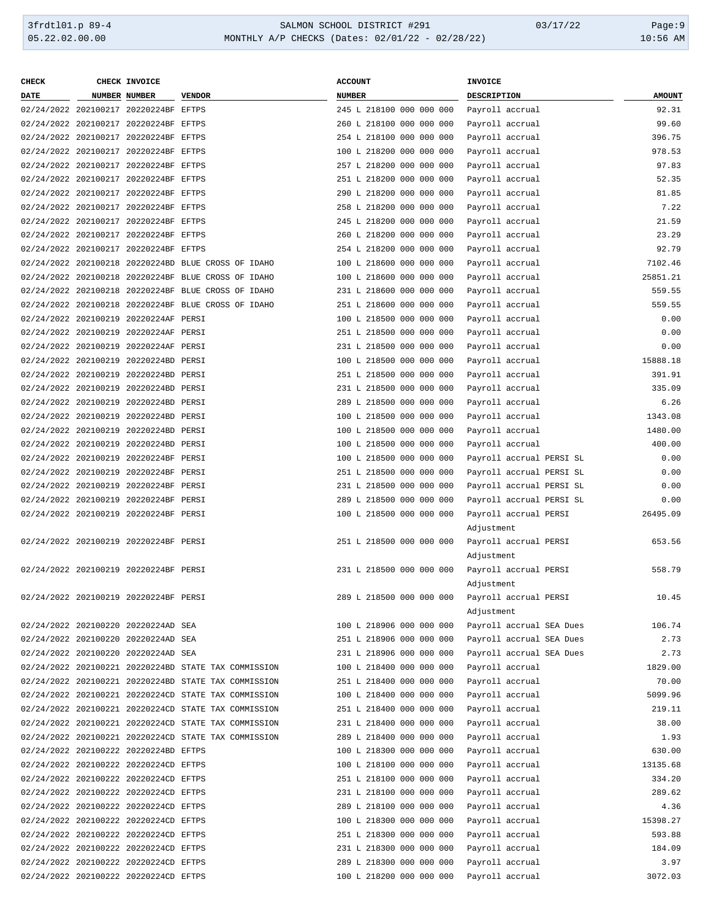| <b>CHECK</b>                          | CHECK INVOICE                         |                                                      | <b>ACCOUNT</b>           | INVOICE                  |               |
|---------------------------------------|---------------------------------------|------------------------------------------------------|--------------------------|--------------------------|---------------|
| <b>DATE</b>                           | NUMBER NUMBER                         | <b>VENDOR</b>                                        | <b>NUMBER</b>            | DESCRIPTION              | <b>AMOUNT</b> |
|                                       | 02/24/2022 202100217 20220224BF EFTPS |                                                      | 245 L 218100 000 000 000 | Payroll accrual          | 92.31         |
|                                       | 02/24/2022 202100217 20220224BF EFTPS |                                                      | 260 L 218100 000 000 000 | Payroll accrual          | 99.60         |
| 02/24/2022 202100217 20220224BF EFTPS |                                       |                                                      | 254 L 218100 000 000 000 | Payroll accrual          | 396.75        |
| 02/24/2022 202100217 20220224BF EFTPS |                                       |                                                      | 100 L 218200 000 000 000 | Payroll accrual          | 978.53        |
| 02/24/2022 202100217 20220224BF EFTPS |                                       |                                                      | 257 L 218200 000 000 000 | Payroll accrual          | 97.83         |
| 02/24/2022 202100217 20220224BF EFTPS |                                       |                                                      | 251 L 218200 000 000 000 | Payroll accrual          | 52.35         |
|                                       |                                       |                                                      |                          |                          |               |
| 02/24/2022 202100217 20220224BF EFTPS |                                       |                                                      | 290 L 218200 000 000 000 | Payroll accrual          | 81.85         |
| 02/24/2022 202100217 20220224BF EFTPS |                                       |                                                      | 258 L 218200 000 000 000 | Payroll accrual          | 7.22          |
| 02/24/2022 202100217 20220224BF EFTPS |                                       |                                                      | 245 L 218200 000 000 000 | Payroll accrual          | 21.59         |
| 02/24/2022 202100217 20220224BF EFTPS |                                       |                                                      | 260 L 218200 000 000 000 | Payroll accrual          | 23.29         |
| 02/24/2022 202100217 20220224BF EFTPS |                                       |                                                      | 254 L 218200 000 000 000 | Payroll accrual          | 92.79         |
|                                       |                                       | 02/24/2022 202100218 20220224BD BLUE CROSS OF IDAHO  | 100 L 218600 000 000 000 | Payroll accrual          | 7102.46       |
|                                       |                                       | 02/24/2022 202100218 20220224BF BLUE CROSS OF IDAHO  | 100 L 218600 000 000 000 | Payroll accrual          | 25851.21      |
|                                       |                                       | 02/24/2022 202100218 20220224BF BLUE CROSS OF IDAHO  | 231 L 218600 000 000 000 | Payroll accrual          | 559.55        |
|                                       |                                       | 02/24/2022 202100218 20220224BF BLUE CROSS OF IDAHO  | 251 L 218600 000 000 000 | Payroll accrual          | 559.55        |
| 02/24/2022 202100219 20220224AF PERSI |                                       |                                                      | 100 L 218500 000 000 000 | Payroll accrual          | 0.00          |
| 02/24/2022 202100219 20220224AF PERSI |                                       |                                                      | 251 L 218500 000 000 000 | Payroll accrual          | 0.00          |
| 02/24/2022 202100219 20220224AF PERSI |                                       |                                                      | 231 L 218500 000 000 000 | Payroll accrual          | 0.00          |
| 02/24/2022 202100219 20220224BD PERSI |                                       |                                                      | 100 L 218500 000 000 000 | Payroll accrual          | 15888.18      |
| 02/24/2022 202100219 20220224BD PERSI |                                       |                                                      | 251 L 218500 000 000 000 | Payroll accrual          | 391.91        |
| 02/24/2022 202100219 20220224BD PERSI |                                       |                                                      | 231 L 218500 000 000 000 | Payroll accrual          | 335.09        |
| 02/24/2022 202100219 20220224BD PERSI |                                       |                                                      | 289 L 218500 000 000 000 | Payroll accrual          | 6.26          |
| 02/24/2022 202100219 20220224BD PERSI |                                       |                                                      | 100 L 218500 000 000 000 | Payroll accrual          | 1343.08       |
| 02/24/2022 202100219 20220224BD PERSI |                                       |                                                      | 100 L 218500 000 000 000 | Payroll accrual          | 1480.00       |
| 02/24/2022 202100219 20220224BD PERSI |                                       |                                                      | 100 L 218500 000 000 000 | Payroll accrual          | 400.00        |
| 02/24/2022 202100219 20220224BF PERSI |                                       |                                                      | 100 L 218500 000 000 000 | Payroll accrual PERSI SL | 0.00          |
| 02/24/2022 202100219 20220224BF PERSI |                                       |                                                      | 251 L 218500 000 000 000 | Payroll accrual PERSI SL | 0.00          |
|                                       |                                       |                                                      |                          |                          |               |
| 02/24/2022 202100219 20220224BF PERSI |                                       |                                                      | 231 L 218500 000 000 000 | Payroll accrual PERSI SL | 0.00          |
| 02/24/2022 202100219 20220224BF PERSI |                                       |                                                      | 289 L 218500 000 000 000 | Payroll accrual PERSI SL | 0.00          |
| 02/24/2022 202100219 20220224BF PERSI |                                       |                                                      | 100 L 218500 000 000 000 | Payroll accrual PERSI    | 26495.09      |
|                                       |                                       |                                                      |                          | Adjustment               |               |
| 02/24/2022 202100219 20220224BF PERSI |                                       |                                                      | 251 L 218500 000 000 000 | Payroll accrual PERSI    | 653.56        |
|                                       |                                       |                                                      |                          | Adjustment               |               |
| 02/24/2022 202100219 20220224BF PERSI |                                       |                                                      | 231 L 218500 000 000 000 | Payroll accrual PERSI    | 558.79        |
|                                       |                                       |                                                      |                          | Adjustment               |               |
|                                       | 02/24/2022 202100219 20220224BF PERSI |                                                      | 289 L 218500 000 000 000 | Payroll accrual PERSI    | 10.45         |
|                                       |                                       |                                                      |                          | Adjustment               |               |
|                                       | 02/24/2022 202100220 20220224AD SEA   |                                                      | 100 L 218906 000 000 000 | Payroll accrual SEA Dues | 106.74        |
|                                       | 02/24/2022 202100220 20220224AD SEA   |                                                      | 251 L 218906 000 000 000 | Payroll accrual SEA Dues | 2.73          |
|                                       | 02/24/2022 202100220 20220224AD SEA   |                                                      | 231 L 218906 000 000 000 | Payroll accrual SEA Dues | 2.73          |
|                                       |                                       | 02/24/2022 202100221 20220224BD STATE TAX COMMISSION | 100 L 218400 000 000 000 | Payroll accrual          | 1829.00       |
|                                       |                                       | 02/24/2022 202100221 20220224BD STATE TAX COMMISSION | 251 L 218400 000 000 000 | Payroll accrual          | 70.00         |
|                                       |                                       | 02/24/2022 202100221 20220224CD STATE TAX COMMISSION | 100 L 218400 000 000 000 | Payroll accrual          | 5099.96       |
|                                       |                                       | 02/24/2022 202100221 20220224CD STATE TAX COMMISSION | 251 L 218400 000 000 000 | Payroll accrual          | 219.11        |
|                                       |                                       | 02/24/2022 202100221 20220224CD STATE TAX COMMISSION | 231 L 218400 000 000 000 | Payroll accrual          | 38.00         |
|                                       |                                       | 02/24/2022 202100221 20220224CD STATE TAX COMMISSION | 289 L 218400 000 000 000 | Payroll accrual          | 1.93          |
|                                       | 02/24/2022 202100222 20220224BD EFTPS |                                                      | 100 L 218300 000 000 000 | Payroll accrual          | 630.00        |
|                                       | 02/24/2022 202100222 20220224CD EFTPS |                                                      | 100 L 218100 000 000 000 | Payroll accrual          | 13135.68      |
|                                       | 02/24/2022 202100222 20220224CD EFTPS |                                                      | 251 L 218100 000 000 000 | Payroll accrual          | 334.20        |
|                                       | 02/24/2022 202100222 20220224CD EFTPS |                                                      | 231 L 218100 000 000 000 | Payroll accrual          | 289.62        |
|                                       | 02/24/2022 202100222 20220224CD EFTPS |                                                      | 289 L 218100 000 000 000 | Payroll accrual          | 4.36          |
|                                       |                                       |                                                      |                          |                          |               |
|                                       | 02/24/2022 202100222 20220224CD EFTPS |                                                      | 100 L 218300 000 000 000 | Payroll accrual          | 15398.27      |
|                                       | 02/24/2022 202100222 20220224CD EFTPS |                                                      | 251 L 218300 000 000 000 | Payroll accrual          | 593.88        |
| 02/24/2022 202100222 20220224CD EFTPS |                                       |                                                      | 231 L 218300 000 000 000 | Payroll accrual          | 184.09        |
| 02/24/2022 202100222 20220224CD EFTPS |                                       |                                                      | 289 L 218300 000 000 000 | Payroll accrual          | 3.97          |
| 02/24/2022 202100222 20220224CD EFTPS |                                       |                                                      | 100 L 218200 000 000 000 | Payroll accrual          | 3072.03       |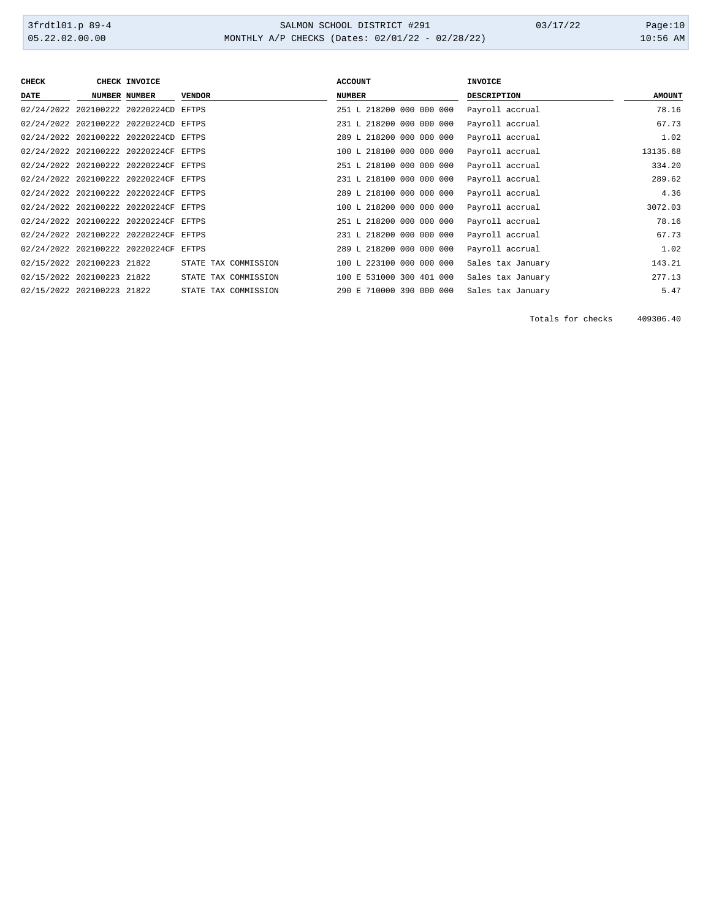### 3frdtl01.p 89-4 <br>
34LMON SCHOOL DISTRICT #291 03/17/22 Page:10<br>
31.02.02.00.00 MONTHLY A/P CHECKS (Dates: 02/01/22 - 02/28/22) MONTHLY A/P CHECKS (Dates: 02/01/22 - 02/28/22)

| <b>CHECK</b>               | <b>CHECK INVOICE</b>                  |                      | <b>ACCOUNT</b>           | <b>INVOICE</b>     |               |
|----------------------------|---------------------------------------|----------------------|--------------------------|--------------------|---------------|
| DATE                       | <b>NUMBER NUMBER</b>                  | <b>VENDOR</b>        | <b>NUMBER</b>            | <b>DESCRIPTION</b> | <b>AMOUNT</b> |
|                            | 02/24/2022 202100222 20220224CD EFTPS |                      | 251 L 218200 000 000 000 | Payroll accrual    | 78.16         |
|                            | 02/24/2022 202100222 20220224CD EFTPS |                      | 231 L 218200 000 000 000 | Payroll accrual    | 67.73         |
|                            | 02/24/2022 202100222 20220224CD EFTPS |                      | 289 L 218200 000 000 000 | Payroll accrual    | 1.02          |
|                            | 02/24/2022 202100222 20220224CF EFTPS |                      | 100 L 218100 000 000 000 | Payroll accrual    | 13135.68      |
|                            | 02/24/2022 202100222 20220224CF EFTPS |                      | 251 L 218100 000 000 000 | Payroll accrual    | 334.20        |
|                            | 02/24/2022 202100222 20220224CF EFTPS |                      | 231 L 218100 000 000 000 | Payroll accrual    | 289.62        |
|                            | 02/24/2022 202100222 20220224CF EFTPS |                      | 289 L 218100 000 000 000 | Payroll accrual    | 4.36          |
|                            | 02/24/2022 202100222 20220224CF EFTPS |                      | 100 L 218200 000 000 000 | Payroll accrual    | 3072.03       |
|                            | 02/24/2022 202100222 20220224CF EFTPS |                      | 251 L 218200 000 000 000 | Payroll accrual    | 78.16         |
|                            | 02/24/2022 202100222 20220224CF EFTPS |                      | 231 L 218200 000 000 000 | Payroll accrual    | 67.73         |
|                            | 02/24/2022 202100222 20220224CF       | <b>EFTPS</b>         | 289 L 218200 000 000 000 | Payroll accrual    | 1.02          |
| 02/15/2022 202100223 21822 |                                       | STATE TAX COMMISSION | 100 L 223100 000 000 000 | Sales tax January  | 143.21        |
| 02/15/2022 202100223 21822 |                                       | STATE TAX COMMISSION | 100 E 531000 300 401 000 | Sales tax January  | 277.13        |
| 02/15/2022 202100223 21822 |                                       | STATE TAX COMMISSION | 290 E 710000 390 000 000 | Sales tax January  | 5.47          |

Totals for checks 409306.40